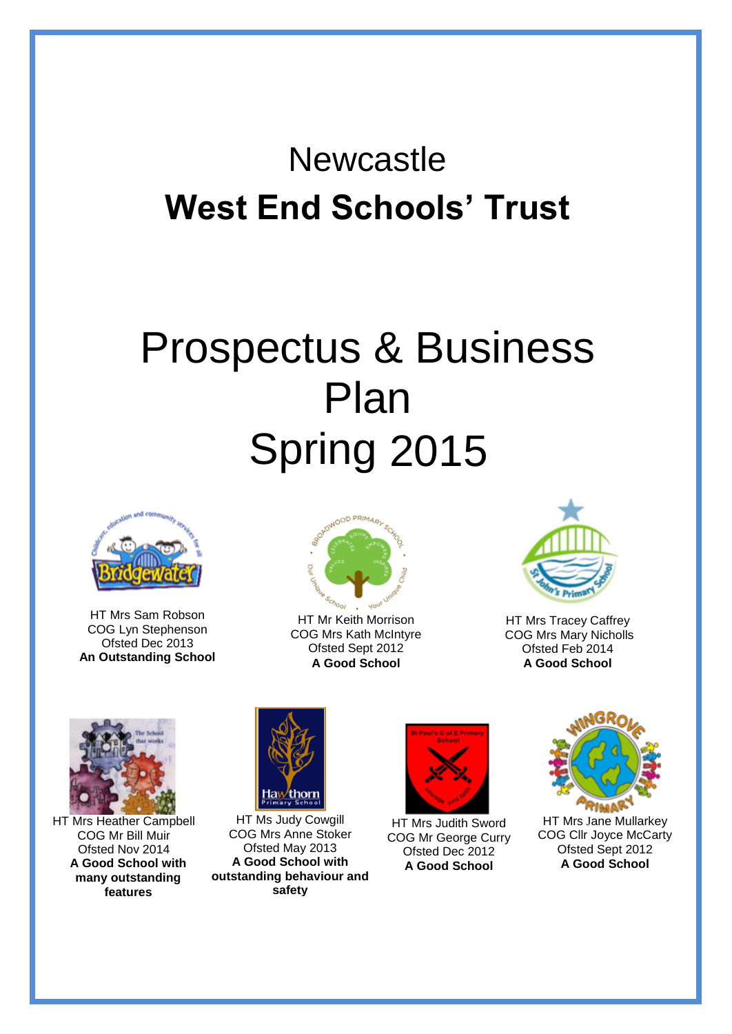# **Newcastle West End Schools' Trust**

# Prospectus & Business Plan Spring 2015



HT Mrs Sam Robson COG Lyn Stephenson Ofsted Dec 2013 **An Outstanding School**



HT Mr Keith Morrison COG Mrs Kath McIntyre Ofsted Sept 2012 **A Good School**



HT Mrs Tracey Caffrey COG Mrs Mary Nicholls Ofsted Feb 2014 **A Good School**



HT Mrs Heather Campbell COG Mr Bill Muir Ofsted Nov 2014 **A Good School with many outstanding features**



HT Ms Judy Cowgill COG Mrs Anne Stoker Ofsted May 2013 **A Good School with outstanding behaviour and safety**



HT Mrs Judith Sword COG Mr George Curry Ofsted Dec 2012 **A Good School**



HT Mrs Jane Mullarkey COG Cllr Joyce McCarty Ofsted Sept 2012 **A Good School**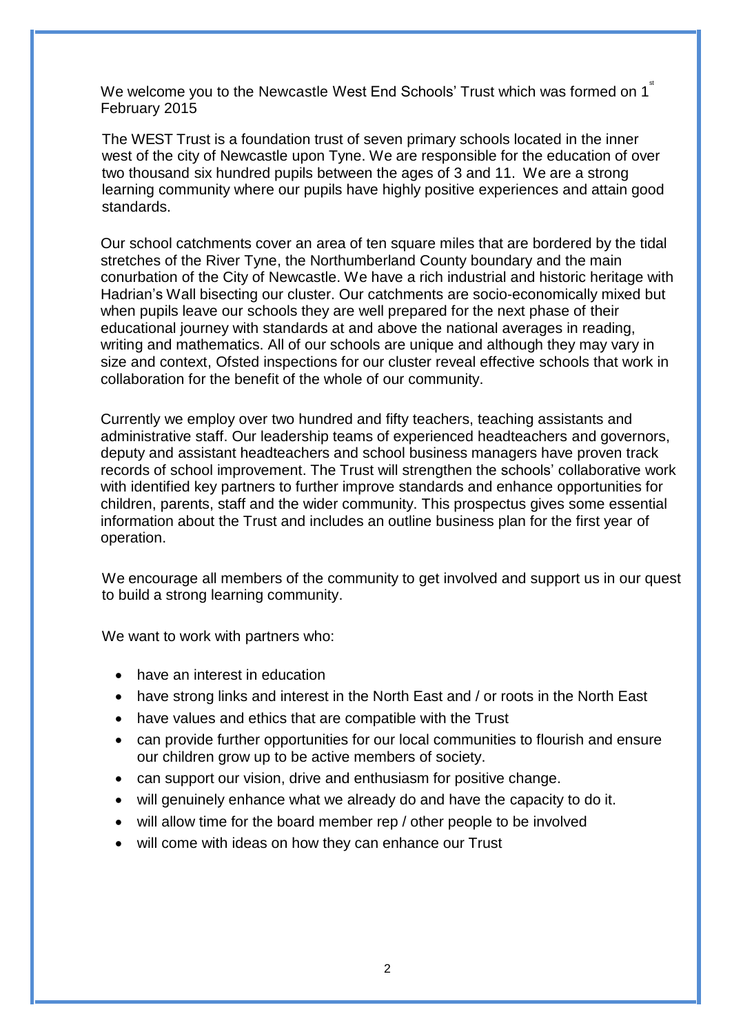We welcome you to the Newcastle West End Schools' Trust which was formed on 1 $^{*}$ February 2015

The WEST Trust is a foundation trust of seven primary schools located in the inner west of the city of Newcastle upon Tyne. We are responsible for the education of over two thousand six hundred pupils between the ages of 3 and 11. We are a strong learning community where our pupils have highly positive experiences and attain good standards.

Our school catchments cover an area of ten square miles that are bordered by the tidal stretches of the River Tyne, the Northumberland County boundary and the main conurbation of the City of Newcastle. We have a rich industrial and historic heritage with Hadrian's Wall bisecting our cluster. Our catchments are socio-economically mixed but when pupils leave our schools they are well prepared for the next phase of their educational journey with standards at and above the national averages in reading, writing and mathematics. All of our schools are unique and although they may vary in size and context, Ofsted inspections for our cluster reveal effective schools that work in collaboration for the benefit of the whole of our community.

Currently we employ over two hundred and fifty teachers, teaching assistants and administrative staff. Our leadership teams of experienced headteachers and governors, deputy and assistant headteachers and school business managers have proven track records of school improvement. The Trust will strengthen the schools' collaborative work with identified key partners to further improve standards and enhance opportunities for children, parents, staff and the wider community. This prospectus gives some essential information about the Trust and includes an outline business plan for the first year of operation.

We encourage all members of the community to get involved and support us in our quest to build a strong learning community.

We want to work with partners who:

- have an interest in education
- have strong links and interest in the North East and / or roots in the North East
- have values and ethics that are compatible with the Trust
- can provide further opportunities for our local communities to flourish and ensure our children grow up to be active members of society.
- can support our vision, drive and enthusiasm for positive change.
- will genuinely enhance what we already do and have the capacity to do it.
- will allow time for the board member rep / other people to be involved
- will come with ideas on how they can enhance our Trust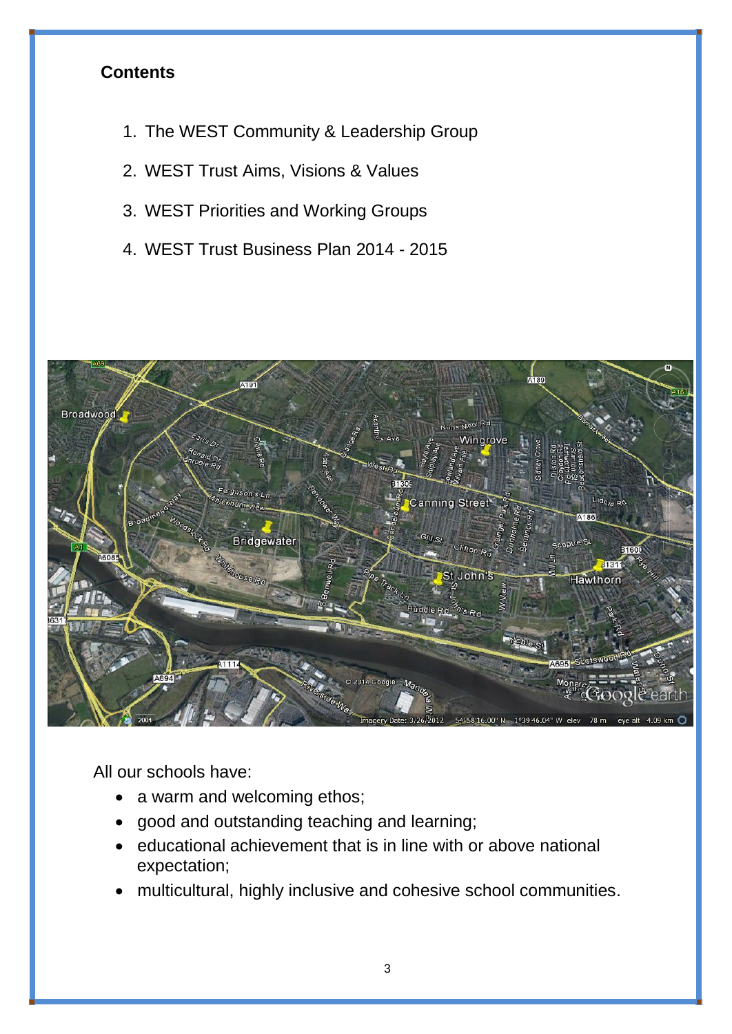# **Contents**

- 1. The WEST Community & Leadership Group
- 2. WEST Trust Aims, Visions & Values
- 3. WEST Priorities and Working Groups
- 4. WEST Trust Business Plan 2014 2015



All our schools have:

- a warm and welcoming ethos;
- good and outstanding teaching and learning;
- educational achievement that is in line with or above national expectation;
- multicultural, highly inclusive and cohesive school communities.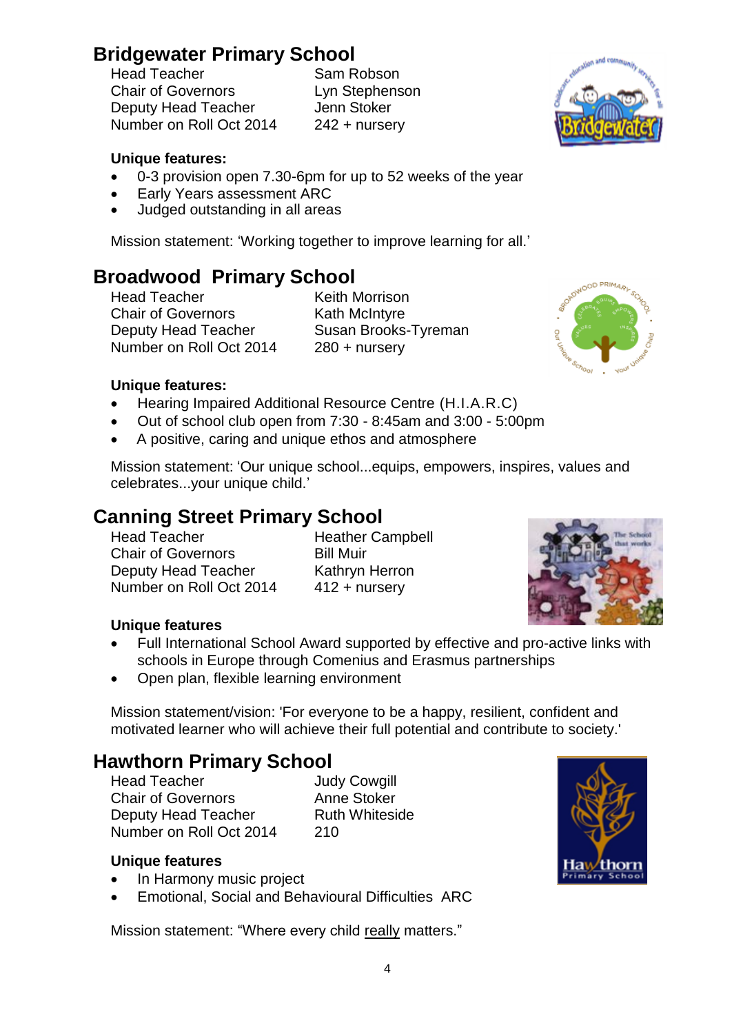# **Bridgewater Primary School**

Head Teacher<br>Chair of Governors Deputy Head Teacher **Jenn Stoker** Number on Roll Oct 2014 242 + nursery

Lyn Stephenson

# **Unique features:**

- 0-3 provision open 7.30-6pm for up to 52 weeks of the year
- Early Years assessment ARC
- Judged outstanding in all areas

Mission statement: 'Working together to improve learning for all.'

# **Broadwood Primary School**

Head Teacher **Keith Morrison** Chair of Governors **Kath McIntyre** Deputy Head Teacher Susan Brooks-Tyreman Number on Roll Oct 2014 280 + nursery



# **Unique features:**

- Hearing Impaired Additional Resource Centre (H.I.A.R.C)
- Out of school club open from 7:30 8:45am and 3:00 5:00pm
- A positive, caring and unique ethos and atmosphere

Mission statement: 'Our unique school...equips, empowers, inspires, values and celebrates...your unique child.'

# **Canning Street Primary School**

Head Teacher **Heather Campbell Chair of Governors** Bill Muir Deputy Head Teacher Kathryn Herron Number on Roll Oct 2014 412 + nursery



# **Unique features**

- Full International School Award supported by effective and pro-active links with schools in Europe through Comenius and Erasmus partnerships
- Open plan, flexible learning environment

Mission statement/vision: 'For everyone to be a happy, resilient, confident and motivated learner who will achieve their full potential and contribute to society.'

# **Hawthorn Primary School**

Head Teacher **Judy Cowgill** Chair of Governors **Anne Stoker** Deputy Head Teacher Ruth Whiteside Number on Roll Oct 2014 210

# **Unique features**

- In Harmony music project
- Emotional, Social and Behavioural Difficulties ARC

Mission statement: "Where every child really matters."





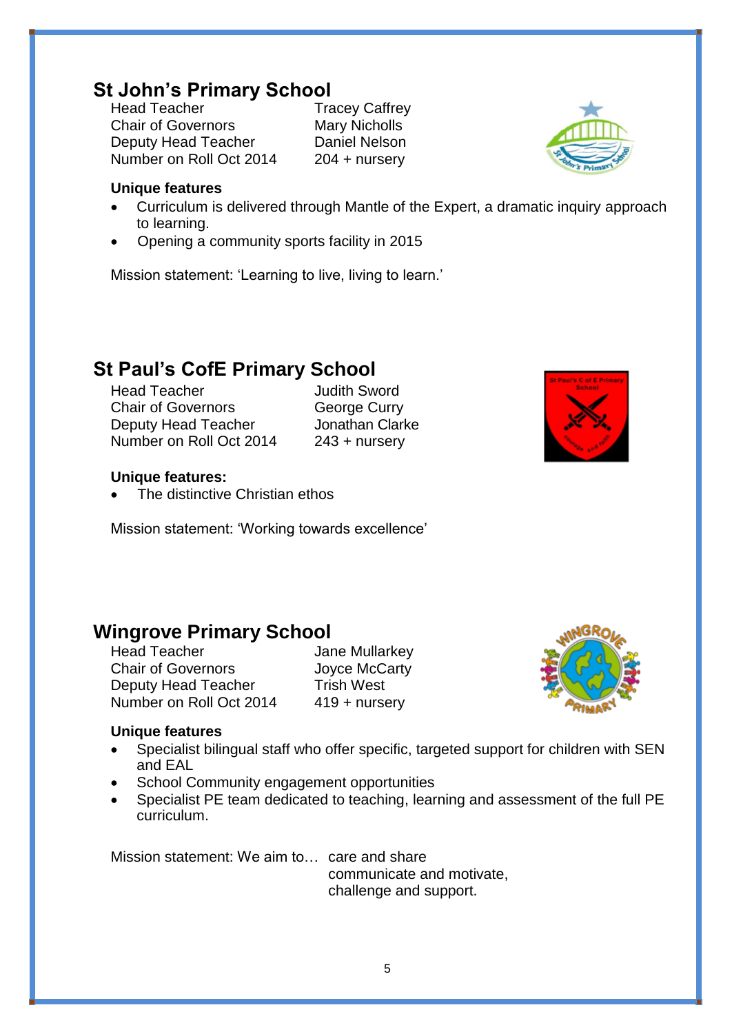# **St John's Primary School**<br>Head Teacher<br>Tra

Chair of Governors Mary Nicholls Deputy Head Teacher Daniel Nelson Number on Roll Oct 2014 204 + nursery

**Tracey Caffrey** 



### **Unique features**

- Curriculum is delivered through Mantle of the Expert, a dramatic inquiry approach to learning.
- Opening a community sports facility in 2015

Mission statement: 'Learning to live, living to learn.'

# **St Paul's CofE Primary School**

Head Teacher **Judith Sword** Chair of Governors George Curry Deputy Head Teacher **Jonathan Clarke** Number on Roll Oct 2014 243 + nursery



#### **Unique features:**

The distinctive Christian ethos

Mission statement: 'Working towards excellence'

# **Wingrove Primary School**

Chair of Governors Joyce McCarty Deputy Head Teacher Trish West Number on Roll Oct 2014 419 + nursery

Jane Mullarkey



### **Unique features**

- Specialist bilingual staff who offer specific, targeted support for children with SEN and EAL
- School Community engagement opportunities
- Specialist PE team dedicated to teaching, learning and assessment of the full PE curriculum.

Mission statement: We aim to… care and share

communicate and motivate, challenge and support.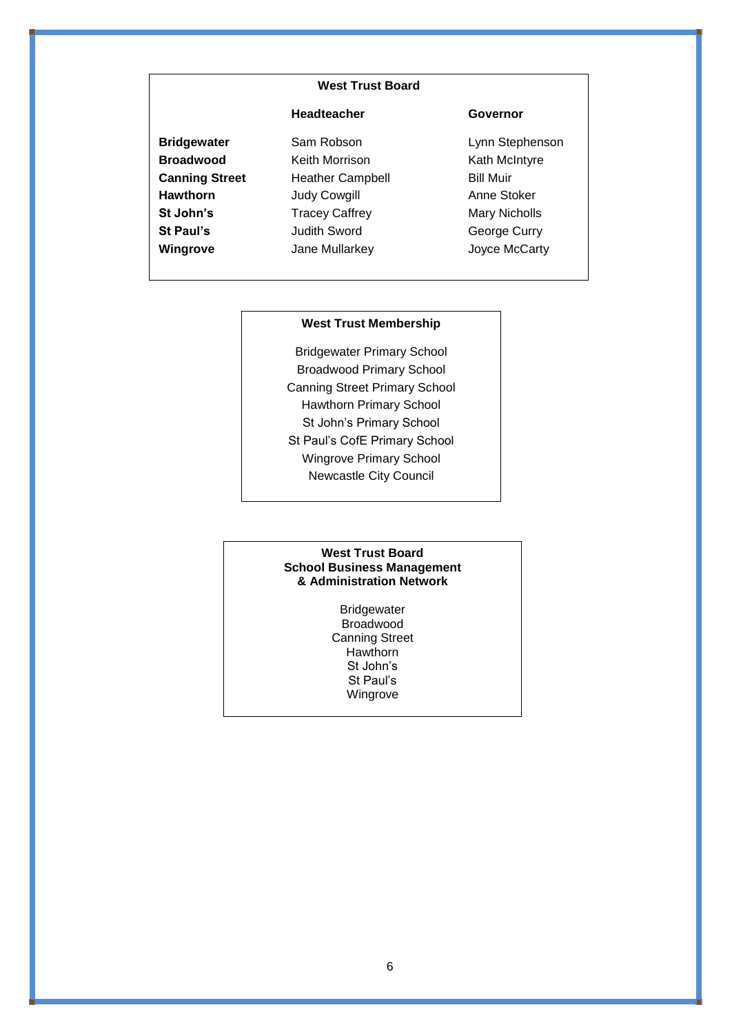#### **West Trust Board**

#### **Headteacher Governor**

- 
- **Bridgewater** Sam Robson **Containery Lynn Stephenson Broadwood** Keith Morrison Kath McIntyre **Canning Street** Heather Campbell **Heather Campbell** Bill Muir Hawthorn **Judy Cowgill** Anne Stoker **St John's** Tracey Caffrey Mary Nicholls **St Paul's Judith Sword** George Curry **Wingrove Jane Mullarkey Joyce McCarty**

#### **West Trust Membership**

Bridgewater Primary School Broadwood Primary School Canning Street Primary School Hawthorn Primary School St John's Primary School St Paul's CofE Primary School Wingrove Primary School Newcastle City Council

#### **West Trust Board School Business Management & Administration Network**

Bridgewater Broadwood Canning Street **Hawthorn** St John's St Paul's Wingrove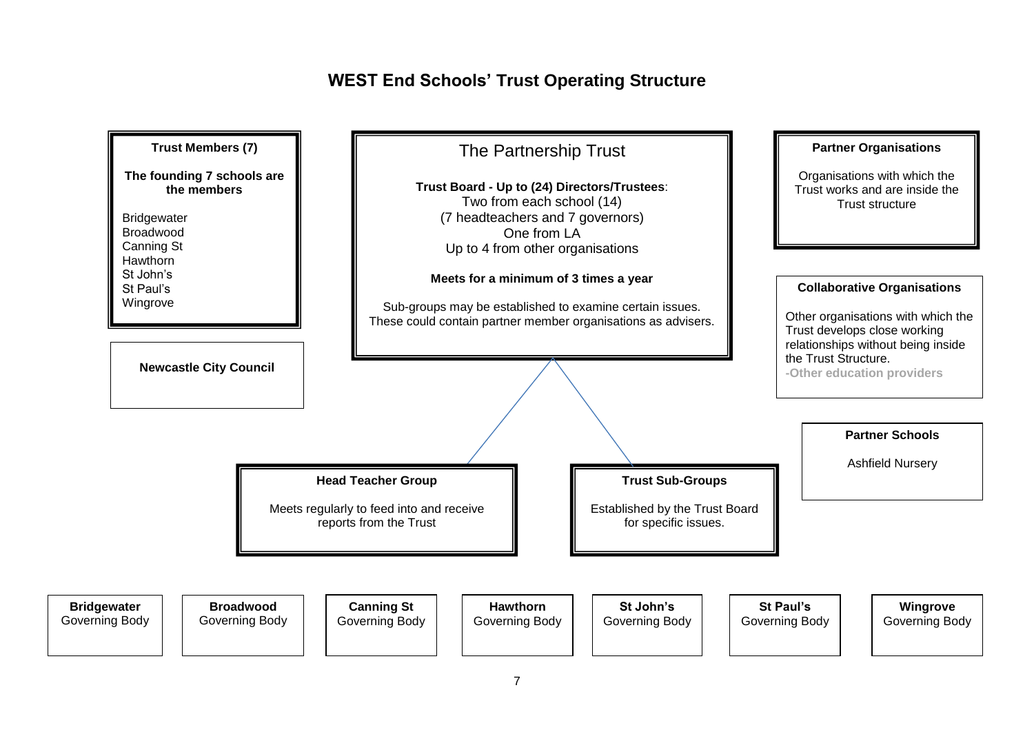# **WEST End Schools' Trust Operating Structure**

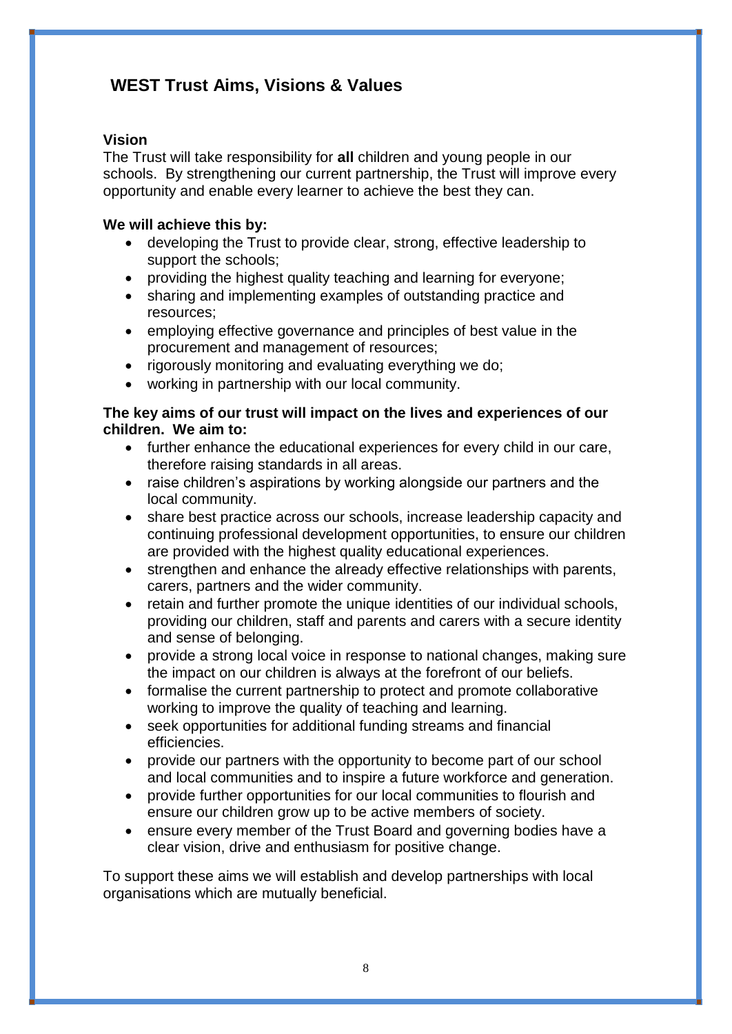# **WEST Trust Aims, Visions & Values**

# **Vision**

The Trust will take responsibility for **all** children and young people in our schools. By strengthening our current partnership, the Trust will improve every opportunity and enable every learner to achieve the best they can.

# **We will achieve this by:**

- developing the Trust to provide clear, strong, effective leadership to support the schools;
- providing the highest quality teaching and learning for everyone;
- sharing and implementing examples of outstanding practice and resources;
- employing effective governance and principles of best value in the procurement and management of resources;
- rigorously monitoring and evaluating everything we do;
- working in partnership with our local community.

### **The key aims of our trust will impact on the lives and experiences of our children. We aim to:**

- further enhance the educational experiences for every child in our care, therefore raising standards in all areas.
- raise children's aspirations by working alongside our partners and the local community.
- share best practice across our schools, increase leadership capacity and continuing professional development opportunities, to ensure our children are provided with the highest quality educational experiences.
- strengthen and enhance the already effective relationships with parents, carers, partners and the wider community.
- retain and further promote the unique identities of our individual schools, providing our children, staff and parents and carers with a secure identity and sense of belonging.
- provide a strong local voice in response to national changes, making sure the impact on our children is always at the forefront of our beliefs.
- formalise the current partnership to protect and promote collaborative working to improve the quality of teaching and learning.
- seek opportunities for additional funding streams and financial efficiencies.
- provide our partners with the opportunity to become part of our school and local communities and to inspire a future workforce and generation.
- provide further opportunities for our local communities to flourish and ensure our children grow up to be active members of society.
- ensure every member of the Trust Board and governing bodies have a clear vision, drive and enthusiasm for positive change.

To support these aims we will establish and develop partnerships with local organisations which are mutually beneficial.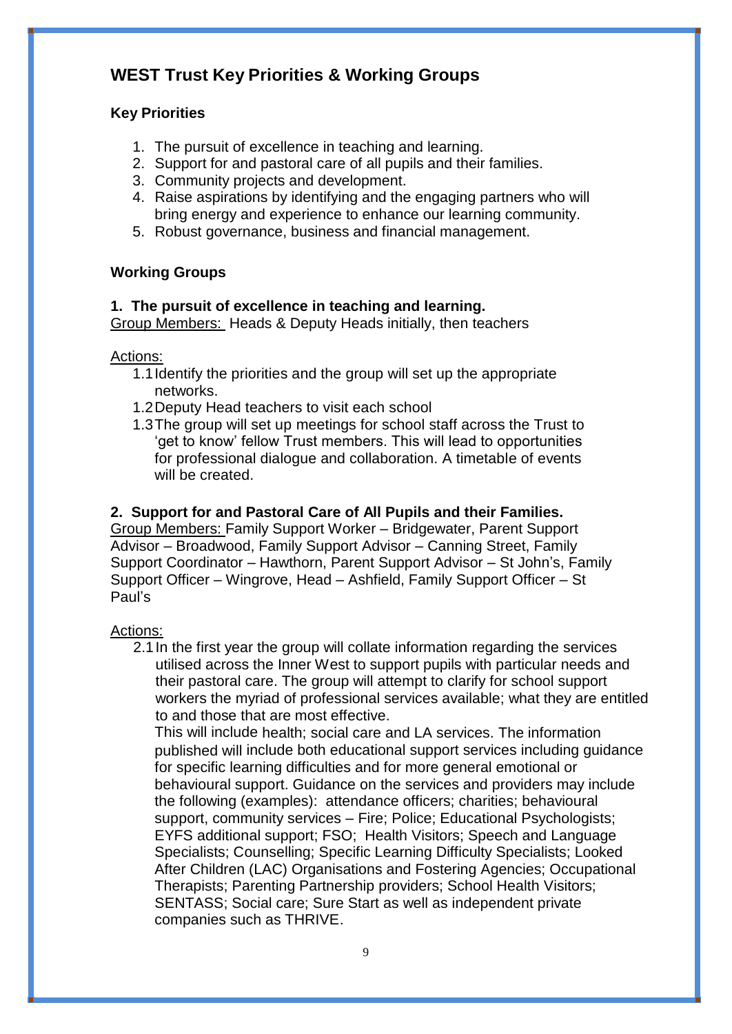# **WEST Trust Key Priorities & Working Groups**

# **Key Priorities**

- 1. The pursuit of excellence in teaching and learning.
- 2. Support for and pastoral care of all pupils and their families.
- 3. Community projects and development.
- 4. Raise aspirations by identifying and the engaging partners who will bring energy and experience to enhance our learning community.
- 5. Robust governance, business and financial management.

# **Working Groups**

## **1. The pursuit of excellence in teaching and learning.**

Group Members: Heads & Deputy Heads initially, then teachers

# Actions:

- 1.1Identify the priorities and the group will set up the appropriate networks.
- 1.2Deputy Head teachers to visit each school
- 1.3The group will set up meetings for school staff across the Trust to 'get to know' fellow Trust members. This will lead to opportunities for professional dialogue and collaboration. A timetable of events will be created.

# **2. Support for and Pastoral Care of All Pupils and their Families.**

Group Members: Family Support Worker – Bridgewater, Parent Support Advisor – Broadwood, Family Support Advisor – Canning Street, Family Support Coordinator – Hawthorn, Parent Support Advisor – St John's, Family Support Officer – Wingrove, Head – Ashfield, Family Support Officer – St Paul's

# Actions:

2.1In the first year the group will collate information regarding the services utilised across the Inner West to support pupils with particular needs and their pastoral care. The group will attempt to clarify for school support workers the myriad of professional services available; what they are entitled to and those that are most effective.

This will include health; social care and LA services. The information published will include both educational support services including guidance for specific learning difficulties and for more general emotional or behavioural support. Guidance on the services and providers may include the following (examples): attendance officers; charities; behavioural support, community services – Fire; Police; Educational Psychologists; EYFS additional support; FSO; Health Visitors; Speech and Language Specialists; Counselling; Specific Learning Difficulty Specialists; Looked After Children (LAC) Organisations and Fostering Agencies; Occupational Therapists; Parenting Partnership providers; School Health Visitors; SENTASS; Social care; Sure Start as well as independent private companies such as THRIVE.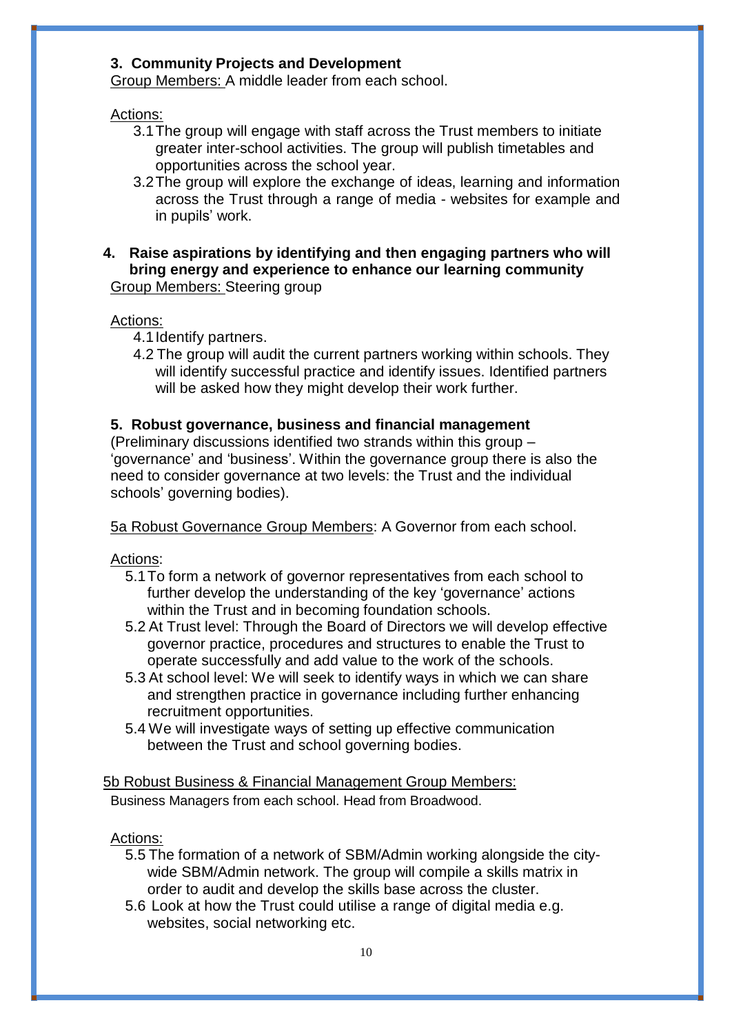### **3. Community Projects and Development**

Group Members: A middle leader from each school.

### Actions:

- 3.1The group will engage with staff across the Trust members to initiate greater inter-school activities. The group will publish timetables and opportunities across the school year.
- 3.2The group will explore the exchange of ideas, learning and information across the Trust through a range of media - websites for example and in pupils' work.
- **4. Raise aspirations by identifying and then engaging partners who will bring energy and experience to enhance our learning community** Group Members: Steering group

### Actions:

- 4.1Identify partners.
- 4.2 The group will audit the current partners working within schools. They will identify successful practice and identify issues. Identified partners will be asked how they might develop their work further.

### **5. Robust governance, business and financial management**

(Preliminary discussions identified two strands within this group – 'governance' and 'business'. Within the governance group there is also the need to consider governance at two levels: the Trust and the individual schools' governing bodies).

5a Robust Governance Group Members: A Governor from each school.

Actions:

- 5.1To form a network of governor representatives from each school to further develop the understanding of the key 'governance' actions within the Trust and in becoming foundation schools.
- 5.2 At Trust level: Through the Board of Directors we will develop effective governor practice, procedures and structures to enable the Trust to operate successfully and add value to the work of the schools.
- 5.3 At school level: We will seek to identify ways in which we can share and strengthen practice in governance including further enhancing recruitment opportunities.
- 5.4 We will investigate ways of setting up effective communication between the Trust and school governing bodies.

#### 5b Robust Business & Financial Management Group Members:

Business Managers from each school. Head from Broadwood.

#### Actions:

- 5.5 The formation of a network of SBM/Admin working alongside the citywide SBM/Admin network. The group will compile a skills matrix in order to audit and develop the skills base across the cluster.
- 5.6 Look at how the Trust could utilise a range of digital media e.g. websites, social networking etc.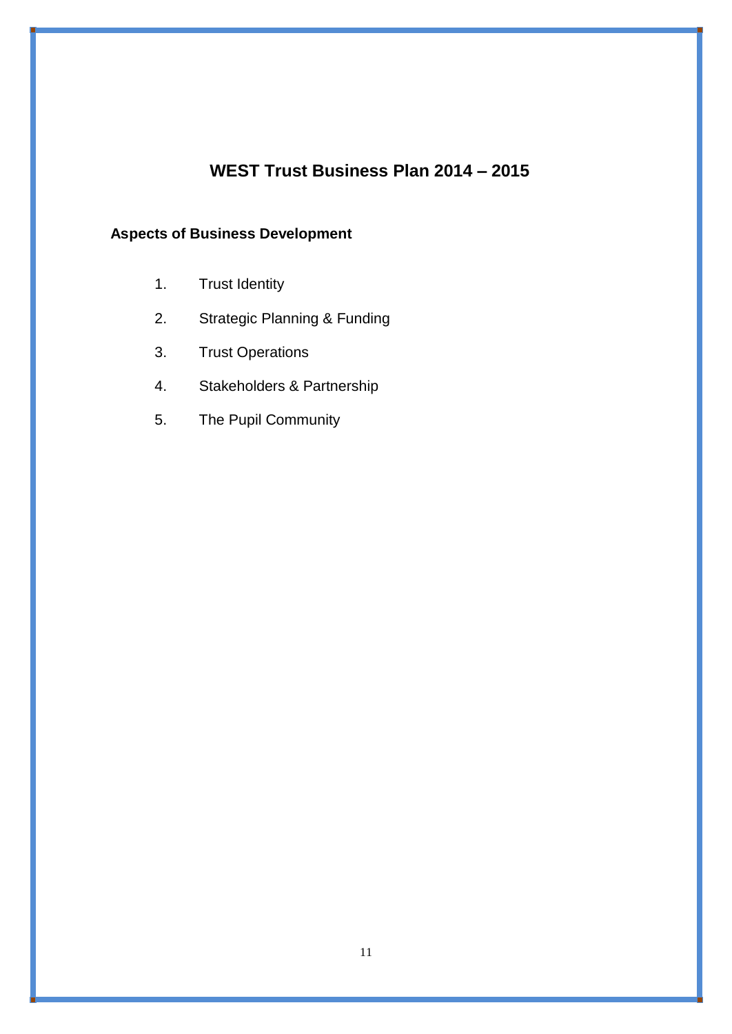# **WEST Trust Business Plan 2014 – 2015**

# **Aspects of Business Development**

- 1. Trust Identity
- 2. Strategic Planning & Funding
- 3. Trust Operations
- 4. Stakeholders & Partnership
- 5. The Pupil Community